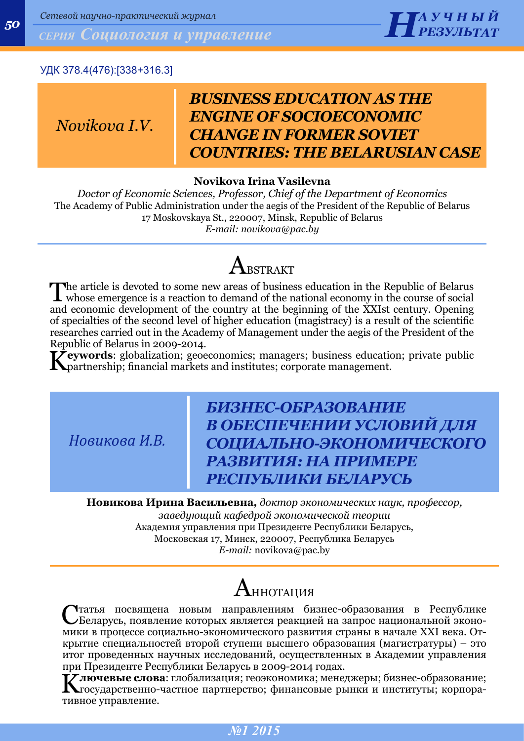### УДК 378.4(476):[338+316.3]

### *Novikova I.V.*

## *BUSINESS EDUCATION AS THE ENGINE OF SOCIOECONOMIC CHANGE IN FORMER SOVIET COUNTRIES: THE BELARUSIAN CASE*

#### **Novikova Irina Vasilevna**

*Doctor of Economic Sciences, Professor, Chief of the Department of Economics* The Academy of Public Administration under the aegis of the President of the Republic of Belarus 17 Moskovskaya St., 220007, Minsk, Republic of Belarus *E-mail: novikova@pac.by*

## **BSTRAKT**

The article is devoted to some new areas of business education in the Republic of Belarus<br>whose emergence is a reaction to demand of the national economy in the course of social<br>and proporcional economic dependence of the and economic development of the country at the beginning of the XXIst century. Opening of specialties of the second level of higher education (magistracy) is a result of the scientific researches carried out in the Academy of Management under the aegis of the President of the Republic of Belarus in 2009-2014.

K**eywords**: globalization; geoeconomics; managers; business education; private public **A** partnership; financial markets and institutes; corporate management.

*Новикова И.В.*

### *БИЗНЕС-ОБРАЗОВАНИЕ В ОБЕСПЕЧЕНИИ УСЛОВИЙ ДЛЯ СОЦИАЛЬНО-ЭКОНОМИЧЕСКОГО РАЗВИТИЯ: НА ПРИМЕРЕ РЕСПУБЛИКИ БЕЛАРУСЬ*

**Новикова Ирина Васильевна***, доктор экономических наук, профессор, заведующий кафедрой экономической теории* Академия управления при Президенте Республики Беларусь, Московская 17, Минск, 220007, Республика Беларусь *E-mail:* novikova@pac.by

# ${\rm A}$ ннотация

Статья посвящена новым направлениям бизнес-образования в Республике Беларусь, появление которых является реакцией на запрос национальной экономики в процессе социально-экономического развития страны в начале ХХI века. Открытие специальностей второй ступени высшего образования (магистратуры) – это итог проведенных научных исследований, осуществленных в Академии управления при Президенте Республики Беларусь в 2009-2014 годах.

**Ключевые слова**: глобализация; геоэкономика; менеджеры; бизнес-образование; государственно-частное партнерство; финансовые рынки и институты; корпоративное управление.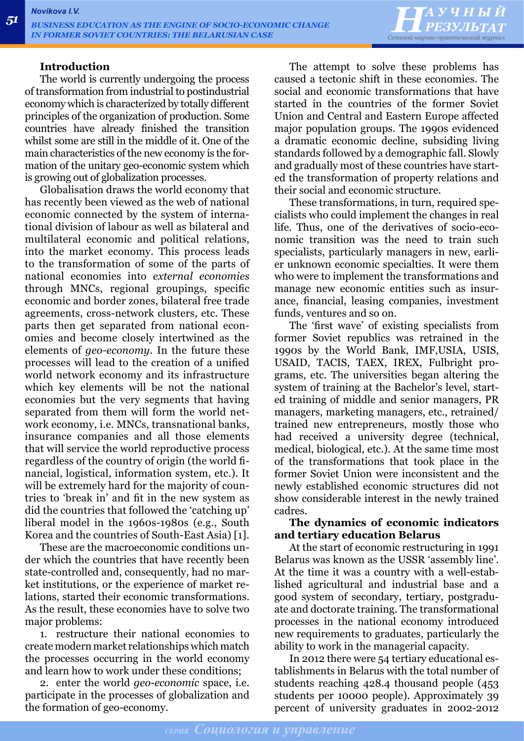### **Introduction**

The world is currently undergoing the process of transformation from industrial to postindustrial economy which is characterized by totally different principles of the organization of production. Some countries have already finished the transition whilst some are still in the middle of it. One of the main characteristics of the new economy is the formation of the unitary geo-economic system which is growing out of globalization processes.

Globalisation draws the world economy that has recently been viewed as the web of national economic connected by the system of international division of labour as well as bilateral and multilateral economic and political relations, into the market economy. This process leads to the transformation of some of the parts of national economies into *external economies* through MNCs, regional groupings, specific economic and border zones, bilateral free trade agreements, cross-network clusters, etc. These parts then get separated from national economies and become closely intertwined as the elements of *geo-economy*. In the future these processes will lead to the creation of a unified world network economy and its infrastructure which key elements will be not the national economies but the very segments that having separated from them will form the world network economy, i.e. MNCs, transnational banks, insurance companies and all those elements that will service the world reproductive process regardless of the country of origin (the world financial, logistical, information system, etc.). It will be extremely hard for the majority of countries to 'break in' and fit in the new system as did the countries that followed the 'catching up' liberal model in the 1960s-1980s (e.g., South Korea and the countries of South-East Asia) [1].

These are the macroeconomic conditions under which the countries that have recently been state-controlled and, consequently, had no market institutions, or the experience of market relations, started their economic transformations. As the result, these economies have to solve two major problems:

1. restructure their national economies to create modern market relationships which match the processes occurring in the world economy and learn how to work under these conditions;

2. enter the world *geo-economic* space, i.e. participate in the processes of globalization and the formation of geo-economy.

The attempt to solve these problems has caused a tectonic shift in these economies. The social and economic transformations that have started in the countries of the former Soviet Union and Central and Eastern Europe affected major population groups. The 1990s evidenced a dramatic economic decline, subsiding living standards followed by a demographic fall. Slowly and gradually most of these countries have started the transformation of property relations and their social and economic structure.

These transformations, in turn, required specialists who could implement the changes in real life. Thus, one of the derivatives of socio-economic transition was the need to train such specialists, particularly managers in new, earlier unknown economic specialties. It were them who were to implement the transformations and manage new economic entities such as insurance, financial, leasing companies, investment funds, ventures and so on.

The 'first wave' of existing specialists from former Soviet republics was retrained in the 1990s by the World Bank, IMF,USIA, USIS, USAID, TACIS, TAEX, IREX, Fulbright programs, etc. The universities began altering the system of training at the Bachelor's level, started training of middle and senior managers, PR managers, marketing managers, etc., retrained/ trained new entrepreneurs, mostly those who had received a university degree (technical, medical, biological, etc.). At the same time most of the transformations that took place in the former Soviet Union were inconsistent and the newly established economic structures did not show considerable interest in the newly trained cadres.

### **The dynamics of economic indicators and tertiary education Belarus**

At the start of economic restructuring in 1991 Belarus was known as the USSR 'assembly line'. At the time it was a country with a well-established agricultural and industrial base and a good system of secondary, tertiary, postgraduate and doctorate training. The transformational processes in the national economy introduced new requirements to graduates, particularly the ability to work in the managerial capacity.

In 2012 there were 54 tertiary educational establishments in Belarus with the total number of students reaching 428.4 thousand people (453 students per 10000 people). Approximately 39 percent of university graduates in 2002-2012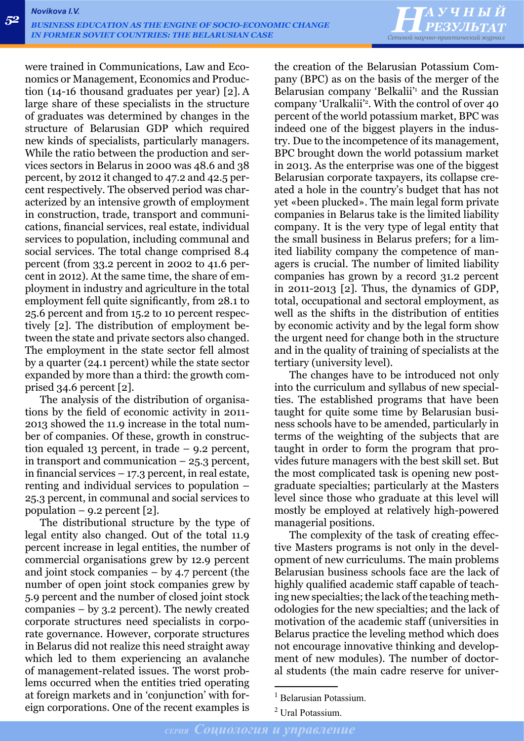

were trained in Communications, Law and Economics or Management, Economics and Production (14-16 thousand graduates per year) [2]. A large share of these specialists in the structure of graduates was determined by changes in the structure of Belarusian GDP which required new kinds of specialists, particularly managers. While the ratio between the production and services sectors in Belarus in 2000 was 48.6 and 38 percent, by 2012 it changed to 47.2 and 42.5 percent respectively. The observed period was characterized by an intensive growth of employment in construction, trade, transport and communications, financial services, real estate, individual services to population, including communal and social services. The total change comprised 8.4 percent (from 33.2 percent in 2002 to 41.6 percent in 2012). At the same time, the share of employment in industry and agriculture in the total employment fell quite significantly, from 28.1 to 25.6 percent and from 15.2 to 10 percent respectively [2]. The distribution of employment between the state and private sectors also changed. The employment in the state sector fell almost by a quarter (24.1 percent) while the state sector expanded by more than a third: the growth comprised 34.6 percent  $[2]$ .

The analysis of the distribution of organisations by the field of economic activity in 2011- 2013 showed the 11.9 increase in the total number of companies. Of these, growth in construction equaled 13 percent, in trade – 9.2 percent, in transport and communication – 25.3 percent, in financial services – 17.3 percent, in real estate, renting and individual services to population – 25.3 percent, in communal and social services to population – 9.2 percent  $[2]$ .

The distributional structure by the type of legal entity also changed. Out of the total 11.9 percent increase in legal entities, the number of commercial organisations grew by 12.9 percent and joint stock companies – by 4.7 percent (the number of open joint stock companies grew by 5.9 percent and the number of closed joint stock companies – by 3.2 percent). The newly created corporate structures need specialists in corporate governance. However, corporate structures in Belarus did not realize this need straight away which led to them experiencing an avalanche of management-related issues. The worst problems occurred when the entities tried operating at foreign markets and in 'conjunction' with foreign corporations. One of the recent examples is the creation of the Belarusian Potassium Company (BPC) as on the basis of the merger of the Belarusian company 'Belkalii'<sup>1</sup> and the Russian company 'Uralkalii'2 . With the control of over 40 percent of the world potassium market, BPC was indeed one of the biggest players in the industry. Due to the incompetence of its management, BPC brought down the world potassium market in 2013. As the enterprise was one of the biggest Belarusian corporate taxpayers, its collapse created a hole in the country's budget that has not yet «been plucked». The main legal form private companies in Belarus take is the limited liability company. It is the very type of legal entity that the small business in Belarus prefers; for a limited liability company the competence of managers is crucial. The number of limited liability companies has grown by a record 31.2 percent in 2011-2013 [2]. Thus, the dynamics of GDP, total, occupational and sectoral employment, as well as the shifts in the distribution of entities by economic activity and by the legal form show the urgent need for change both in the structure and in the quality of training of specialists at the tertiary (university level).

The changes have to be introduced not only into the curriculum and syllabus of new specialties. The established programs that have been taught for quite some time by Belarusian business schools have to be amended, particularly in terms of the weighting of the subjects that are taught in order to form the program that provides future managers with the best skill set. But the most complicated task is opening new postgraduate specialties; particularly at the Masters level since those who graduate at this level will mostly be employed at relatively high-powered managerial positions.

The complexity of the task of creating effective Masters programs is not only in the development of new curriculums. The main problems Belarusian business schools face are the lack of highly qualified academic staff capable of teaching new specialties; the lack of the teaching methodologies for the new specialties; and the lack of motivation of the academic staff (universities in Belarus practice the leveling method which does not encourage innovative thinking and development of new modules). The number of doctoral students (the main cadre reserve for univer-

<sup>&</sup>lt;sup>1</sup> Belarusian Potassium.

<sup>2</sup> Ural Potassium.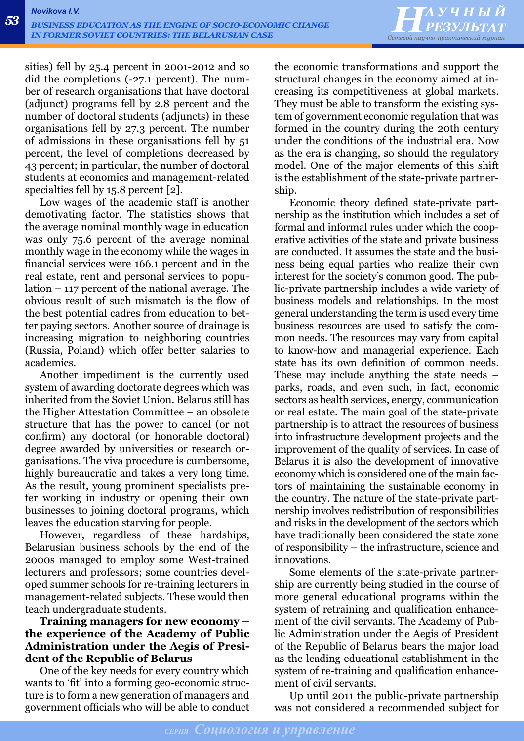sities) fell by 25.4 percent in 2001-2012 and so did the completions (-27.1 percent). The number of research organisations that have doctoral (adjunct) programs fell by 2.8 percent and the number of doctoral students (adjuncts) in these organisations fell by 27.3 percent. The number of admissions in these organisations fell by 51 percent, the level of completions decreased by 43 percent; in particular, the number of doctoral students at economics and management-related specialties fell by 15.8 percent [2].

Low wages of the academic staff is another demotivating factor. The statistics shows that the average nominal monthly wage in education was only 75.6 percent of the average nominal monthly wage in the economy while the wages in financial services were 166.1 percent and in the real estate, rent and personal services to population – 117 percent of the national average. The obvious result of such mismatch is the flow of the best potential cadres from education to better paying sectors. Another source of drainage is increasing migration to neighboring countries (Russia, Poland) which offer better salaries to academics.

Another impediment is the currently used system of awarding doctorate degrees which was inherited from the Soviet Union. Belarus still has the Higher Attestation Committee – an obsolete structure that has the power to cancel (or not confirm) any doctoral (or honorable doctoral) degree awarded by universities or research organisations. The viva procedure is cumbersome, highly bureaucratic and takes a very long time. As the result, young prominent specialists prefer working in industry or opening their own businesses to joining doctoral programs, which leaves the education starving for people.

However, regardless of these hardships, Belarusian business schools by the end of the 2000s managed to employ some West-trained lecturers and professors; some countries developed summer schools for re-training lecturers in management-related subjects. These would then teach undergraduate students.

### **Training managers for new economy – the experience of the Academy of Public Administration under the Aegis of President of the Republic of Belarus**

One of the key needs for every country which wants to 'fit' into a forming geo-economic structure is to form a new generation of managers and government officials who will be able to conduct

the economic transformations and support the structural changes in the economy aimed at increasing its competitiveness at global markets. They must be able to transform the existing system of government economic regulation that was formed in the country during the 20th century under the conditions of the industrial era. Now as the era is changing, so should the regulatory model. One of the major elements of this shift is the establishment of the state-private partnership.

Economic theory defined state-private partnership as the institution which includes a set of formal and informal rules under which the cooperative activities of the state and private business are conducted. It assumes the state and the business being equal parties who realize their own interest for the society's common good. The public-private partnership includes a wide variety of business models and relationships. In the most general understanding the term is used every time business resources are used to satisfy the common needs. The resources may vary from capital to know-how and managerial experience. Each state has its own definition of common needs. These may include anything the state needs – parks, roads, and even such, in fact, economic sectors as health services, energy, communication or real estate. The main goal of the state-private partnership is to attract the resources of business into infrastructure development projects and the improvement of the quality of services. In case of Belarus it is also the development of innovative economy which is considered one of the main factors of maintaining the sustainable economy in the country. The nature of the state-private partnership involves redistribution of responsibilities and risks in the development of the sectors which have traditionally been considered the state zone of responsibility – the infrastructure, science and innovations.

Some elements of the state-private partnership are currently being studied in the course of more general educational programs within the system of retraining and qualification enhancement of the civil servants. The Academy of Public Administration under the Aegis of President of the Republic of Belarus bears the major load as the leading educational establishment in the system of re-training and qualification enhancement of civil servants.

Up until 2011 the public-private partnership was not considered a recommended subject for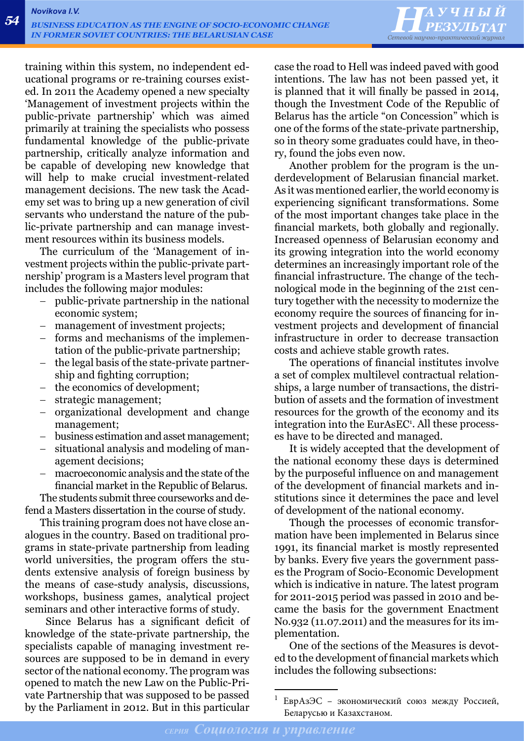training within this system, no independent educational programs or re-training courses existed. In 2011 the Academy opened a new specialty 'Management of investment projects within the public-private partnership' which was aimed primarily at training the specialists who possess fundamental knowledge of the public-private partnership, critically analyze information and be capable of developing new knowledge that will help to make crucial investment-related management decisions. The new task the Academy set was to bring up a new generation of civil servants who understand the nature of the public-private partnership and can manage investment resources within its business models.

The curriculum of the 'Management of investment projects within the public-private partnership' program is a Masters level program that includes the following major modules:

- − public-private partnership in the national economic system;
- management of investment projects;
- forms and mechanisms of the implementation of the public-private partnership;
- − the legal basis of the state-private partnership and fighting corruption;
- the economics of development;
- − strategic management;
- − organizational development and change management;
- business estimation and asset management;
- − situational analysis and modeling of management decisions;
- macroeconomic analysis and the state of the financial market in the Republic of Belarus.

The students submit three courseworks and defend a Masters dissertation in the course of study.

This training program does not have close analogues in the country. Based on traditional programs in state-private partnership from leading world universities, the program offers the students extensive analysis of foreign business by the means of case-study analysis, discussions, workshops, business games, analytical project seminars and other interactive forms of study.

 Since Belarus has a significant deficit of knowledge of the state-private partnership, the specialists capable of managing investment resources are supposed to be in demand in every sector of the national economy. The program was opened to match the new Law on the Public-Private Partnership that was supposed to be passed by the Parliament in 2012. But in this particular case the road to Hell was indeed paved with good intentions. The law has not been passed yet, it is planned that it will finally be passed in 2014, though the Investment Code of the Republic of Belarus has the article "on Concession" which is one of the forms of the state-private partnership, so in theory some graduates could have, in theory, found the jobs even now.

Another problem for the program is the underdevelopment of Belarusian financial market. As it was mentioned earlier, the world economy is experiencing significant transformations. Some of the most important changes take place in the financial markets, both globally and regionally. Increased openness of Belarusian economy and its growing integration into the world economy determines an increasingly important role of the financial infrastructure. The change of the technological mode in the beginning of the 21st century together with the necessity to modernize the economy require the sources of financing for investment projects and development of financial infrastructure in order to decrease transaction costs and achieve stable growth rates.

The operations of financial institutes involve a set of complex multilevel contractual relationships, a large number of transactions, the distribution of assets and the formation of investment resources for the growth of the economy and its integration into the EurAsEC<sup>1</sup>. All these processes have to be directed and managed.

It is widely accepted that the development of the national economy these days is determined by the purposeful influence on and management of the development of financial markets and institutions since it determines the pace and level of development of the national economy.

Though the processes of economic transformation have been implemented in Belarus since 1991, its financial market is mostly represented by banks. Every five years the government passes the Program of Socio-Economic Development which is indicative in nature. The latest program for 2011-2015 period was passed in 2010 and became the basis for the government Enactment No.932 (11.07.2011) and the measures for its implementation.

One of the sections of the Measures is devoted to the development of financial markets which includes the following subsections:

ЕврАзЭС - экономический союз между Россией, Беларусью и Казахстаном.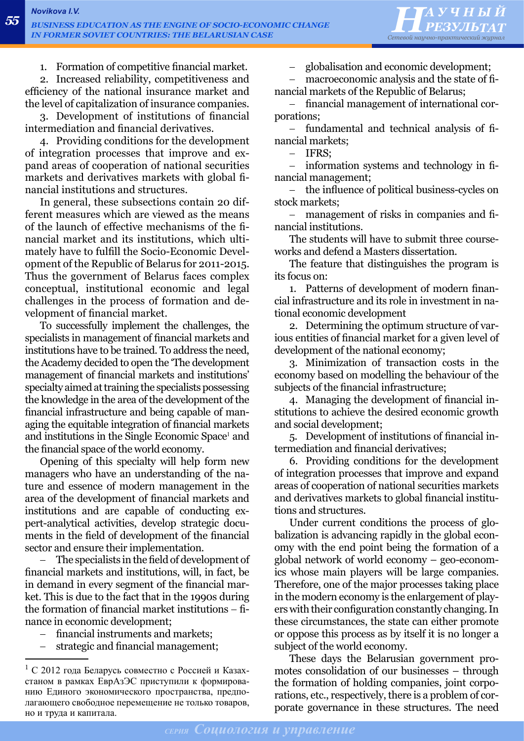1. Formation of competitive financial market.

2. Increased reliability, competitiveness and efficiency of the national insurance market and the level of capitalization of insurance companies.

3. Development of institutions of financial intermediation and financial derivatives.

4. Providing conditions for the development of integration processes that improve and expand areas of cooperation of national securities markets and derivatives markets with global financial institutions and structures.

In general, these subsections contain 20 different measures which are viewed as the means of the launch of effective mechanisms of the financial market and its institutions, which ultimately have to fulfill the Socio-Economic Development of the Republic of Belarus for 2011-2015. Thus the government of Belarus faces complex conceptual, institutional economic and legal challenges in the process of formation and development of financial market.

To successfully implement the challenges, the specialists in management of financial markets and institutions have to be trained. To address the need, the Academy decided to open the 'The development management of financial markets and institutions' specialty aimed at training the specialists possessing the knowledge in the area of the development of the financial infrastructure and being capable of managing the equitable integration of financial markets and institutions in the Single Economic Space<sup>1</sup> and the financial space of the world economy.

Opening of this specialty will help form new managers who have an understanding of the nature and essence of modern management in the area of the development of financial markets and institutions and are capable of conducting expert-analytical activities, develop strategic documents in the field of development of the financial sector and ensure their implementation.

The specialists in the field of development of financial markets and institutions, will, in fact, be in demand in every segment of the financial market. This is due to the fact that in the 1990s during the formation of financial market institutions - finance in economic development;

- − financial instruments and markets;
- − strategic and financial management;

− globalisation and economic development;

− macroeconomic analysis and the state of financial markets of the Republic of Belarus;

− financial management of international corporations;

− fundamental and technical analysis of financial markets;

− IFRS;

− information systems and technology in financial management;

− the influence of political business-cycles on stock markets;

− management of risks in companies and financial institutions.

The students will have to submit three courseworks and defend a Masters dissertation.

The feature that distinguishes the program is its focus on:

1. Patterns of development of modern financial infrastructure and its role in investment in national economic development

2. Determining the optimum structure of various entities of financial market for a given level of development of the national economy;

3. Minimization of transaction costs in the economy based on modelling the behaviour of the subjects of the financial infrastructure;

4. Managing the development of financial institutions to achieve the desired economic growth and social development;

5. Development of institutions of financial intermediation and financial derivatives;

6. Providing conditions for the development of integration processes that improve and expand areas of cooperation of national securities markets and derivatives markets to global financial institutions and structures.

Under current conditions the process of globalization is advancing rapidly in the global economy with the end point being the formation of a global network of world economy – geo-economics whose main players will be large companies. Therefore, one of the major processes taking place in the modern economy is the enlargement of players with their configuration constantly changing. In these circumstances, the state can either promote or oppose this process as by itself it is no longer a subject of the world economy.

These days the Belarusian government promotes consolidation of our businesses – through the formation of holding companies, joint corporations, etc., respectively, there is a problem of corporate governance in these structures. The need

<sup>1</sup> С 2012 года Беларусь совместно с Россией и Казахстаном в рамках ЕврАзЭС приступили к формированию Единого экономического пространства, предполагающего свободное перемещение не только товаров, но и труда и капитала.